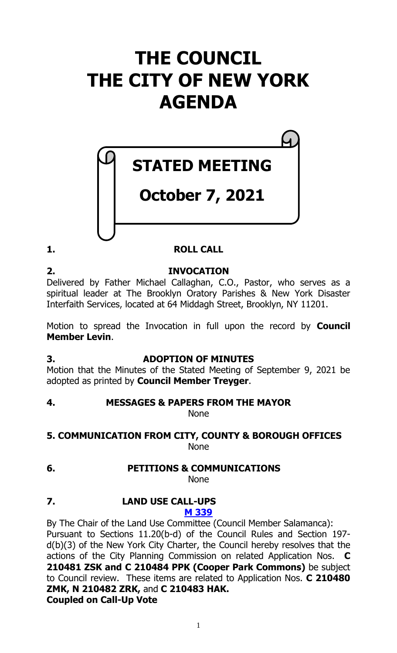# **THE COUNCIL THE CITY OF NEW YORK AGENDA**



# **STATED MEETING**

# **October 7, 2021**

# **1. ROLL CALL**

**2. INVOCATION** Delivered by Father Michael Callaghan, C.O., Pastor, who serves as a spiritual leader at The Brooklyn Oratory Parishes & New York Disaster Interfaith Services, located at 64 Middagh Street, Brooklyn, NY 11201.

Motion to spread the Invocation in full upon the record by **Council Member Levin**.

# **3. ADOPTION OF MINUTES**

Motion that the Minutes of the Stated Meeting of September 9, 2021 be adopted as printed by **Council Member Treyger**.

# **4. MESSAGES & PAPERS FROM THE MAYOR**

None

#### **5. COMMUNICATION FROM CITY, COUNTY & BOROUGH OFFICES** None

# **6. PETITIONS & COMMUNICATIONS**

None

#### **7. LAND USE CALL-UPS [M 339](https://legistar.council.nyc.gov/LegislationDetail.aspx?ID=5161512&GUID=367D65A0-6E2F-41FB-B149-6BA037C6710B&Options=ID|&Search=)**

By The Chair of the Land Use Committee (Council Member Salamanca): Pursuant to Sections 11.20(b-d) of the Council Rules and Section 197 d(b)(3) of the New York City Charter, the Council hereby resolves that the actions of the City Planning Commission on related Application Nos. **C 210481 ZSK and C 210484 PPK (Cooper Park Commons)** be subject to Council review. These items are related to Application Nos. **C 210480 ZMK, N 210482 ZRK,** and **C 210483 HAK. Coupled on Call-Up Vote**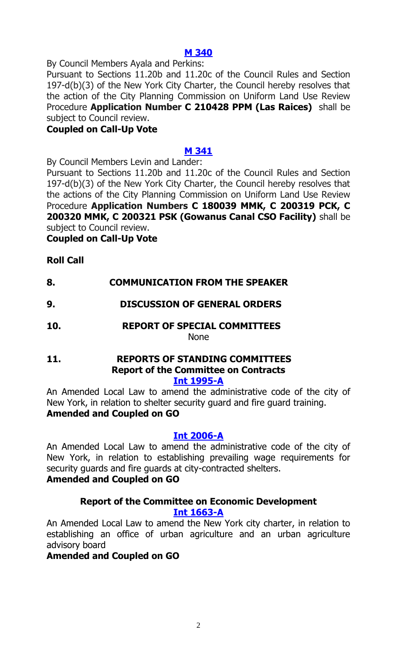#### **[M 340](https://legistar.council.nyc.gov/LegislationDetail.aspx?ID=5161398&GUID=D22C18ED-166B-4D36-9311-A9CECF63808A&Options=ID|&Search=)**

By Council Members Ayala and Perkins:

Pursuant to Sections 11.20b and 11.20c of the Council Rules and Section 197-d(b)(3) of the New York City Charter, the Council hereby resolves that the action of the City Planning Commission on Uniform Land Use Review Procedure **Application Number C 210428 PPM (Las Raices)** shall be subject to Council review.

#### **Coupled on Call-Up Vote**

### **[M 341](https://legistar.council.nyc.gov/LegislationDetail.aspx?ID=5161400&GUID=DC4E6F5C-0646-4ED6-B6B0-2D771E82628F&Options=ID|&Search=)**

By Council Members Levin and Lander:

Pursuant to Sections 11.20b and 11.20c of the Council Rules and Section 197-d(b)(3) of the New York City Charter, the Council hereby resolves that the actions of the City Planning Commission on Uniform Land Use Review Procedure **Application Numbers C 180039 MMK, C 200319 PCK, C 200320 MMK, C 200321 PSK (Gowanus Canal CSO Facility)** shall be subject to Council review.

**Coupled on Call-Up Vote**

# **Roll Call**

# **8. COMMUNICATION FROM THE SPEAKER**

# **9. DISCUSSION OF GENERAL ORDERS**

**10. REPORT OF SPECIAL COMMITTEES** None

#### **11. REPORTS OF STANDING COMMITTEES Report of the Committee on Contracts [Int 1995-A](https://legistar.council.nyc.gov/LegislationDetail.aspx?ID=4601835&GUID=C745BDC3-3D0A-4397-8715-C33E869915C0&Options=&Search=)**

An Amended Local Law to amend the administrative code of the city of New York, in relation to shelter security guard and fire guard training. **Amended and Coupled on GO**

#### **[Int 2006-A](https://legistar.council.nyc.gov/LegislationDetail.aspx?ID=4601863&GUID=3C75D733-B2A1-4E8F-94A7-CE3601707A5D&Options=&Search=)**

An Amended Local Law to amend the administrative code of the city of New York, in relation to establishing prevailing wage requirements for security guards and fire guards at city-contracted shelters.

#### **Amended and Coupled on GO**

#### **Report of the Committee on Economic Development [Int 1663-A](https://legistar.council.nyc.gov/LegislationDetail.aspx?ID=4085856&GUID=59099EDA-FFFC-44BA-B150-439BCF4D3A3B&Options=&Search=)**

An Amended Local Law to amend the New York city charter, in relation to establishing an office of urban agriculture and an urban agriculture advisory board

#### **Amended and Coupled on GO**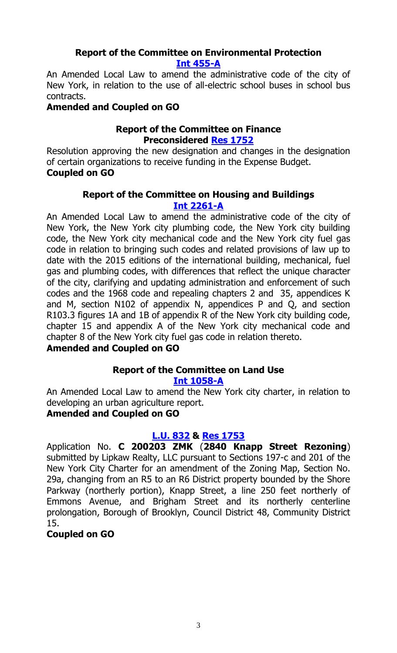# **Report of the Committee on Environmental Protection [Int 455-A](https://legistar.council.nyc.gov/LegislationDetail.aspx?ID=3343761&GUID=AB4AE61B-4A4D-47CB-BEBF-A5D7E6BEE6E0&Options=&Search=)**

An Amended Local Law to amend the administrative code of the city of New York, in relation to the use of all-electric school buses in school bus contracts.

# **Amended and Coupled on GO**

# **Report of the Committee on Finance Preconsidered [Res 1752](https://legistar.council.nyc.gov/LegislationDetail.aspx?ID=5158129&GUID=2DCCC412-6C64-448E-A597-5653921E6869&Options=ID|&Search=)**

Resolution approving the new designation and changes in the designation of certain organizations to receive funding in the Expense Budget. **Coupled on GO**

### **Report of the Committee on Housing and Buildings [Int 2261-A](https://legistar.council.nyc.gov/LegislationDetail.aspx?ID=4920277&GUID=1F552D69-C99A-43D2-8203-EEB95C66203A&Options=&Search=)**

An Amended Local Law to amend the administrative code of the city of New York, the New York city plumbing code, the New York city building code, the New York city mechanical code and the New York city fuel gas code in relation to bringing such codes and related provisions of law up to date with the 2015 editions of the international building, mechanical, fuel gas and plumbing codes, with differences that reflect the unique character of the city, clarifying and updating administration and enforcement of such codes and the 1968 code and repealing chapters 2 and 35, appendices K and M, section N102 of appendix N, appendices P and Q, and section R103.3 figures 1A and 1B of appendix R of the New York city building code, chapter 15 and appendix A of the New York city mechanical code and chapter 8 of the New York city fuel gas code in relation thereto.

# **Amended and Coupled on GO**

# **Report of the Committee on Land Use**

# **[Int 1058-A](https://legistar.council.nyc.gov/LegislationDetail.aspx?ID=3597652&GUID=8C4E5F5E-90C7-45F2-80E0-6BDA38D16DF2&Options=&Search=)**

An Amended Local Law to amend the New York city charter, in relation to developing an urban agriculture report.

# **Amended and Coupled on GO**

# **[L.U. 832](https://legistar.council.nyc.gov/LegislationDetail.aspx?ID=5117465&GUID=C64376D4-8488-4359-AC68-9E610D756FB8&Options=&Search=) & [Res 1753](https://legistar.council.nyc.gov/LegislationDetail.aspx?ID=5153314&GUID=0FC5ADC8-69F5-418B-B77E-F8DFB2BB30C2&Options=ID|&Search=)**

Application No. **C 200203 ZMK** (**2840 Knapp Street Rezoning**) submitted by Lipkaw Realty, LLC pursuant to Sections 197-c and 201 of the New York City Charter for an amendment of the Zoning Map, Section No. 29a, changing from an R5 to an R6 District property bounded by the Shore Parkway (northerly portion), Knapp Street, a line 250 feet northerly of Emmons Avenue, and Brigham Street and its northerly centerline prolongation, Borough of Brooklyn, Council District 48, Community District 15.

# **Coupled on GO**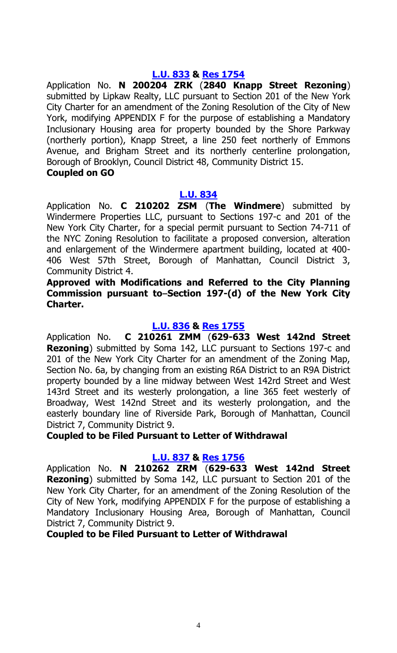#### **[L.U. 833](https://legistar.council.nyc.gov/LegislationDetail.aspx?ID=5117466&GUID=8AA383A0-0395-4271-A352-8211EAEDC29D&Options=&Search=) & [Res 1754](https://legistar.council.nyc.gov/LegislationDetail.aspx?ID=5153315&GUID=A5D78BB4-AB14-4484-AFB1-7675F6A8E9BB&Options=ID|&Search=)**

Application No. **N 200204 ZRK** (**2840 Knapp Street Rezoning**) submitted by Lipkaw Realty, LLC pursuant to Section 201 of the New York City Charter for an amendment of the Zoning Resolution of the City of New York, modifying APPENDIX F for the purpose of establishing a Mandatory Inclusionary Housing area for property bounded by the Shore Parkway (northerly portion), Knapp Street, a line 250 feet northerly of Emmons Avenue, and Brigham Street and its northerly centerline prolongation, Borough of Brooklyn, Council District 48, Community District 15.

#### **Coupled on GO**

#### **[L.U. 834](https://legistar.council.nyc.gov/LegislationDetail.aspx?ID=5117467&GUID=B91BEDFE-F36F-4419-AA24-1C67F01A1FE5&Options=ID|&Search=lu+0834)**

Application No. **C 210202 ZSM** (**The Windmere**) submitted by Windermere Properties LLC, pursuant to Sections 197-c and 201 of the New York City Charter, for a special permit pursuant to Section 74-711 of the NYC Zoning Resolution to facilitate a proposed conversion, alteration and enlargement of the Windermere apartment building, located at 400- 406 West 57th Street, Borough of Manhattan, Council District 3, Community District 4.

**Approved with Modifications and Referred to the City Planning**  Commission pursuant to–Section 197-(d) of the New York City **Charter.**

### **[L.U. 836](https://legistar.council.nyc.gov/LegislationDetail.aspx?ID=5117469&GUID=6E0773FB-366D-4D7C-A375-8567A42A6511&Options=&Search=) & [Res 1755](https://legistar.council.nyc.gov/LegislationDetail.aspx?ID=5153317&GUID=B8A36612-2DCC-4389-BE8B-9245F36DECE6&Options=ID|&Search=)**

Application No. **C 210261 ZMM** (**629-633 West 142nd Street Rezoning**) submitted by Soma 142, LLC pursuant to Sections 197-c and 201 of the New York City Charter for an amendment of the Zoning Map, Section No. 6a, by changing from an existing R6A District to an R9A District property bounded by a line midway between West 142rd Street and West 143rd Street and its westerly prolongation, a line 365 feet westerly of Broadway, West 142nd Street and its westerly prolongation, and the easterly boundary line of Riverside Park, Borough of Manhattan, Council District 7, Community District 9.

**Coupled to be Filed Pursuant to Letter of Withdrawal**

#### **[L.U. 837](https://legistar.council.nyc.gov/LegislationDetail.aspx?ID=5117470&GUID=22761048-AEB7-4491-9DE6-0A6DDD79CA62&Options=&Search=) & [Res 1756](https://legistar.council.nyc.gov/LegislationDetail.aspx?ID=5153318&GUID=24176339-434B-428E-9499-96F78455B0C7&Options=ID|&Search=)**

Application No. **N 210262 ZRM** (**629-633 West 142nd Street Rezoning**) submitted by Soma 142, LLC pursuant to Section 201 of the New York City Charter, for an amendment of the Zoning Resolution of the City of New York, modifying APPENDIX F for the purpose of establishing a Mandatory Inclusionary Housing Area, Borough of Manhattan, Council District 7, Community District 9.

**Coupled to be Filed Pursuant to Letter of Withdrawal**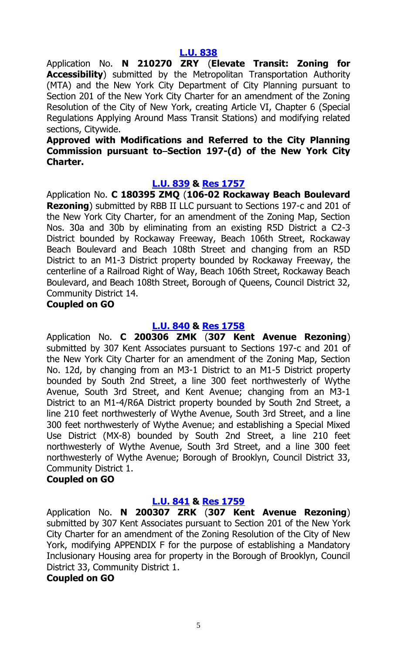Application No. **N 210270 ZRY** (**Elevate Transit: Zoning for Accessibility**) submitted by the Metropolitan Transportation Authority (MTA) and the New York City Department of City Planning pursuant to Section 201 of the New York City Charter for an amendment of the Zoning Resolution of the City of New York, creating Article VI, Chapter 6 (Special Regulations Applying Around Mass Transit Stations) and modifying related sections, Citywide.

#### **Approved with Modifications and Referred to the City Planning Commission pursuant to–Section 197-(d) of the New York City Charter.**

#### **[L.U. 839](https://legistar.council.nyc.gov/LegislationDetail.aspx?ID=5129911&GUID=63E43000-68C4-4C9C-8C83-D75979D32B93&Options=&Search=) & [Res 1757](https://legistar.council.nyc.gov/LegislationDetail.aspx?ID=5153320&GUID=9859BFAF-5C71-4B6A-9AB2-6F176D15D3DE&Options=ID|&Search=)**

Application No. **C 180395 ZMQ** (**106-02 Rockaway Beach Boulevard Rezoning**) submitted by RBB II LLC pursuant to Sections 197-c and 201 of the New York City Charter, for an amendment of the Zoning Map, Section Nos. 30a and 30b by eliminating from an existing R5D District a C2-3 District bounded by Rockaway Freeway, Beach 106th Street, Rockaway Beach Boulevard and Beach 108th Street and changing from an R5D District to an M1-3 District property bounded by Rockaway Freeway, the centerline of a Railroad Right of Way, Beach 106th Street, Rockaway Beach Boulevard, and Beach 108th Street, Borough of Queens, Council District 32, Community District 14.

#### **Coupled on GO**

#### **[L.U. 840](https://legistar.council.nyc.gov/LegislationDetail.aspx?ID=5129912&GUID=DE0900C2-19C3-4ED2-A158-F6D7CBDB43F5&Options=&Search=) & [Res 1758](https://legistar.council.nyc.gov/LegislationDetail.aspx?ID=5153321&GUID=23FC163D-0145-4E69-8A2A-4A3AD86DE2C8&Options=ID|&Search=)**

Application No. **C 200306 ZMK** (**307 Kent Avenue Rezoning**) submitted by 307 Kent Associates pursuant to Sections 197-c and 201 of the New York City Charter for an amendment of the Zoning Map, Section No. 12d, by changing from an M3-1 District to an M1-5 District property bounded by South 2nd Street, a line 300 feet northwesterly of Wythe Avenue, South 3rd Street, and Kent Avenue; changing from an M3-1 District to an M1-4/R6A District property bounded by South 2nd Street, a line 210 feet northwesterly of Wythe Avenue, South 3rd Street, and a line 300 feet northwesterly of Wythe Avenue; and establishing a Special Mixed Use District (MX-8) bounded by South 2nd Street, a line 210 feet northwesterly of Wythe Avenue, South 3rd Street, and a line 300 feet northwesterly of Wythe Avenue; Borough of Brooklyn, Council District 33, Community District 1.

#### **Coupled on GO**

#### **[L.U. 841](https://legistar.council.nyc.gov/LegislationDetail.aspx?ID=5129913&GUID=3E9F0B3E-A937-4A3C-99BC-4F3347679CBF&Options=&Search=) & [Res 1759](https://legistar.council.nyc.gov/LegislationDetail.aspx?ID=5153322&GUID=0F93CB85-3C3F-4F96-8A01-4D5B9135D8FD&Options=ID|&Search=)**

Application No. **N 200307 ZRK** (**307 Kent Avenue Rezoning**) submitted by 307 Kent Associates pursuant to Section 201 of the New York City Charter for an amendment of the Zoning Resolution of the City of New York, modifying APPENDIX F for the purpose of establishing a Mandatory Inclusionary Housing area for property in the Borough of Brooklyn, Council District 33, Community District 1.

#### **Coupled on GO**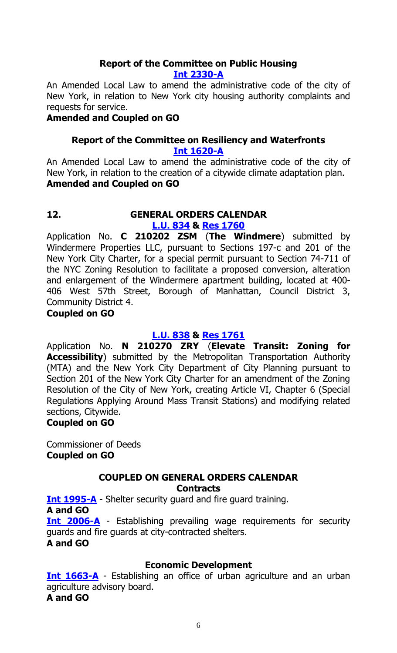# **Report of the Committee on Public Housing**

#### **[Int 2330-A](https://legistar.council.nyc.gov/LegislationDetail.aspx?ID=4977272&GUID=C930A838-7EBE-4437-A3DE-2876B1DFC230&Options=&Search=)**

An Amended Local Law to amend the administrative code of the city of New York, in relation to New York city housing authority complaints and requests for service.

### **Amended and Coupled on GO**

#### **Report of the Committee on Resiliency and Waterfronts [Int 1620-A](https://legistar.council.nyc.gov/LegislationDetail.aspx?ID=3996243&GUID=8BA20DCE-2975-4E72-A812-0320EE34B96C&Options=&Search=)**

An Amended Local Law to amend the administrative code of the city of New York, in relation to the creation of a citywide climate adaptation plan. **Amended and Coupled on GO**

#### **12. GENERAL ORDERS CALENDAR [L.U. 834](https://legistar.council.nyc.gov/LegislationDetail.aspx?ID=5117467&GUID=B91BEDFE-F36F-4419-AA24-1C67F01A1FE5&Options=ID|&Search=lu+0834) & [Res 1760](https://legistar.council.nyc.gov/LegislationDetail.aspx?ID=5153316&GUID=EC1131D8-1A6F-418F-98C6-5F8F139609F6&Options=ID|&Search=)**

Application No. **C 210202 ZSM** (**The Windmere**) submitted by Windermere Properties LLC, pursuant to Sections 197-c and 201 of the New York City Charter, for a special permit pursuant to Section 74-711 of the NYC Zoning Resolution to facilitate a proposed conversion, alteration and enlargement of the Windermere apartment building, located at 400- 406 West 57th Street, Borough of Manhattan, Council District 3, Community District 4.

# **Coupled on GO**

# **[L.U. 838](https://legistar.council.nyc.gov/LegislationDetail.aspx?ID=5129910&GUID=84B1E41E-9AF6-49F5-8D7C-A483C0EEF978&Options=&Search=) & [Res 1761](https://legistar.council.nyc.gov/LegislationDetail.aspx?ID=5153319&GUID=5C916C0D-91C7-4DB4-BE58-885E2BA8380B&Options=ID|&Search=)**

Application No. **N 210270 ZRY** (**Elevate Transit: Zoning for Accessibility**) submitted by the Metropolitan Transportation Authority (MTA) and the New York City Department of City Planning pursuant to Section 201 of the New York City Charter for an amendment of the Zoning Resolution of the City of New York, creating Article VI, Chapter 6 (Special Regulations Applying Around Mass Transit Stations) and modifying related sections, Citywide.

#### **Coupled on GO**

Commissioner of Deeds **Coupled on GO**

# **COUPLED ON GENERAL ORDERS CALENDAR**

**Contracts**

**[Int 1995-A](https://legistar.council.nyc.gov/LegislationDetail.aspx?ID=4601835&GUID=C745BDC3-3D0A-4397-8715-C33E869915C0&Options=&Search=)** - Shelter security guard and fire guard training. **A and GO [Int 2006-A](https://legistar.council.nyc.gov/LegislationDetail.aspx?ID=4601863&GUID=3C75D733-B2A1-4E8F-94A7-CE3601707A5D&Options=&Search=)** - Establishing prevailing wage requirements for security guards and fire guards at city-contracted shelters. **A and GO**

# **Economic Development**

**[Int 1663-A](https://legistar.council.nyc.gov/LegislationDetail.aspx?ID=4085856&GUID=59099EDA-FFFC-44BA-B150-439BCF4D3A3B&Options=&Search=)** - Establishing an office of urban agriculture and an urban agriculture advisory board. **A and GO**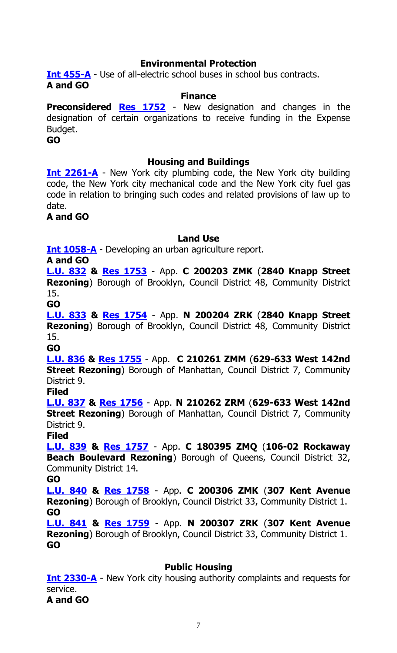# **Environmental Protection**

**[Int 455-A](https://legistar.council.nyc.gov/LegislationDetail.aspx?ID=3343761&GUID=AB4AE61B-4A4D-47CB-BEBF-A5D7E6BEE6E0&Options=&Search=)** - Use of all-electric school buses in school bus contracts. **A and GO**

#### **Finance**

**Preconsidered <b>[Res 1752](https://legistar.council.nyc.gov/LegislationDetail.aspx?ID=5158129&GUID=2DCCC412-6C64-448E-A597-5653921E6869&Options=ID|&Search=)** - New designation and changes in the designation of certain organizations to receive funding in the Expense Budget.

**GO**

#### **Housing and Buildings**

**[Int 2261-A](https://legistar.council.nyc.gov/LegislationDetail.aspx?ID=4920277&GUID=1F552D69-C99A-43D2-8203-EEB95C66203A&Options=&Search=)** - New York city plumbing code, the New York city building code, the New York city mechanical code and the New York city fuel gas code in relation to bringing such codes and related provisions of law up to date.

#### **A and GO**

#### **Land Use**

**[Int 1058-A](https://legistar.council.nyc.gov/LegislationDetail.aspx?ID=3597652&GUID=8C4E5F5E-90C7-45F2-80E0-6BDA38D16DF2&Options=&Search=)** - Developing an urban agriculture report.

**A and GO**

**[L.U. 832](https://legistar.council.nyc.gov/LegislationDetail.aspx?ID=5117465&GUID=C64376D4-8488-4359-AC68-9E610D756FB8&Options=&Search=) & [Res 1753](https://legistar.council.nyc.gov/LegislationDetail.aspx?ID=5153314&GUID=0FC5ADC8-69F5-418B-B77E-F8DFB2BB30C2&Options=ID|&Search=)** - App. **C 200203 ZMK** (**2840 Knapp Street Rezoning**) Borough of Brooklyn, Council District 48, Community District 15.

**GO**

**[L.U. 833](https://legistar.council.nyc.gov/LegislationDetail.aspx?ID=5117466&GUID=8AA383A0-0395-4271-A352-8211EAEDC29D&Options=&Search=) & [Res 1754](https://legistar.council.nyc.gov/LegislationDetail.aspx?ID=5153315&GUID=A5D78BB4-AB14-4484-AFB1-7675F6A8E9BB&Options=ID|&Search=)** - App. **N 200204 ZRK** (**2840 Knapp Street Rezoning**) Borough of Brooklyn, Council District 48, Community District 15.

**GO**

**[L.U. 836](https://legistar.council.nyc.gov/LegislationDetail.aspx?ID=5117469&GUID=6E0773FB-366D-4D7C-A375-8567A42A6511&Options=&Search=) & [Res 1755](https://legistar.council.nyc.gov/LegislationDetail.aspx?ID=5153317&GUID=B8A36612-2DCC-4389-BE8B-9245F36DECE6&Options=ID|&Search=)** - App. **C 210261 ZMM** (**629-633 West 142nd Street Rezoning**) Borough of Manhattan, Council District 7, Community District 9.

**Filed**

**[L.U. 837](https://legistar.council.nyc.gov/LegislationDetail.aspx?ID=5117470&GUID=22761048-AEB7-4491-9DE6-0A6DDD79CA62&Options=&Search=) & [Res 1756](https://legistar.council.nyc.gov/LegislationDetail.aspx?ID=5153318&GUID=24176339-434B-428E-9499-96F78455B0C7&Options=ID|&Search=)** - App. **N 210262 ZRM** (**629-633 West 142nd Street Rezoning**) Borough of Manhattan, Council District 7, Community District 9.

**Filed**

**[L.U. 839](https://legistar.council.nyc.gov/LegislationDetail.aspx?ID=5129911&GUID=63E43000-68C4-4C9C-8C83-D75979D32B93&Options=&Search=) & [Res 1757](https://legistar.council.nyc.gov/LegislationDetail.aspx?ID=5153320&GUID=9859BFAF-5C71-4B6A-9AB2-6F176D15D3DE&Options=ID|&Search=)** - App. **C 180395 ZMQ** (**106-02 Rockaway Beach Boulevard Rezoning**) Borough of Queens, Council District 32, Community District 14.

**GO**

**[L.U. 840](https://legistar.council.nyc.gov/LegislationDetail.aspx?ID=5129912&GUID=DE0900C2-19C3-4ED2-A158-F6D7CBDB43F5&Options=&Search=) & [Res 1758](https://legistar.council.nyc.gov/LegislationDetail.aspx?ID=5153321&GUID=23FC163D-0145-4E69-8A2A-4A3AD86DE2C8&Options=ID|&Search=)** - App. **C 200306 ZMK** (**307 Kent Avenue Rezoning**) Borough of Brooklyn, Council District 33, Community District 1. **GO**

**[L.U. 841](https://legistar.council.nyc.gov/LegislationDetail.aspx?ID=5129913&GUID=3E9F0B3E-A937-4A3C-99BC-4F3347679CBF&Options=&Search=) & [Res 1759](https://legistar.council.nyc.gov/LegislationDetail.aspx?ID=5153322&GUID=0F93CB85-3C3F-4F96-8A01-4D5B9135D8FD&Options=ID|&Search=)** - App. **N 200307 ZRK** (**307 Kent Avenue Rezoning**) Borough of Brooklyn, Council District 33, Community District 1. **GO**

#### **Public Housing**

**[Int 2330-A](https://legistar.council.nyc.gov/LegislationDetail.aspx?ID=4977272&GUID=C930A838-7EBE-4437-A3DE-2876B1DFC230&Options=&Search=)** - New York city housing authority complaints and requests for service. **A and GO**

7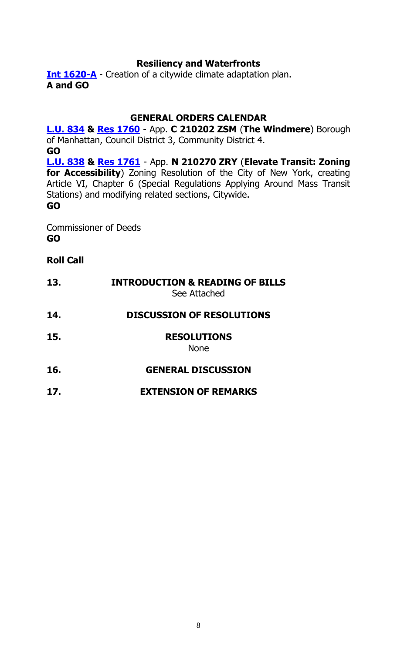# **Resiliency and Waterfronts**

**[Int 1620-A](https://legistar.council.nyc.gov/LegislationDetail.aspx?ID=3996243&GUID=8BA20DCE-2975-4E72-A812-0320EE34B96C&Options=&Search=)** - Creation of a citywide climate adaptation plan. **A and GO**

# **GENERAL ORDERS CALENDAR**

**[L.U. 834](https://legistar.council.nyc.gov/LegislationDetail.aspx?ID=5117467&GUID=B91BEDFE-F36F-4419-AA24-1C67F01A1FE5&Options=ID|&Search=lu+0834) & [Res 1760](https://legistar.council.nyc.gov/LegislationDetail.aspx?ID=5153316&GUID=EC1131D8-1A6F-418F-98C6-5F8F139609F6&Options=ID|&Search=)** - App. **C 210202 ZSM** (**The Windmere**) Borough of Manhattan, Council District 3, Community District 4. **GO [L.U. 838](https://legistar.council.nyc.gov/LegislationDetail.aspx?ID=5129910&GUID=84B1E41E-9AF6-49F5-8D7C-A483C0EEF978&Options=&Search=) & [Res 1761](https://legistar.council.nyc.gov/LegislationDetail.aspx?ID=5153319&GUID=5C916C0D-91C7-4DB4-BE58-885E2BA8380B&Options=ID|&Search=)** - App. **N 210270 ZRY** (**Elevate Transit: Zoning for Accessibility**) Zoning Resolution of the City of New York, creating Article VI, Chapter 6 (Special Regulations Applying Around Mass Transit Stations) and modifying related sections, Citywide. **GO**

Commissioner of Deeds **GO**

# **Roll Call**

| 13. | <b>INTRODUCTION &amp; READING OF BILLS</b><br>See Attached |
|-----|------------------------------------------------------------|
| 14. | <b>DISCUSSION OF RESOLUTIONS</b>                           |
| 15. | <b>RESOLUTIONS</b><br><b>None</b>                          |
| 16. | <b>GENERAL DISCUSSION</b>                                  |
| 17. | <b>EXTENSION OF REMARKS</b>                                |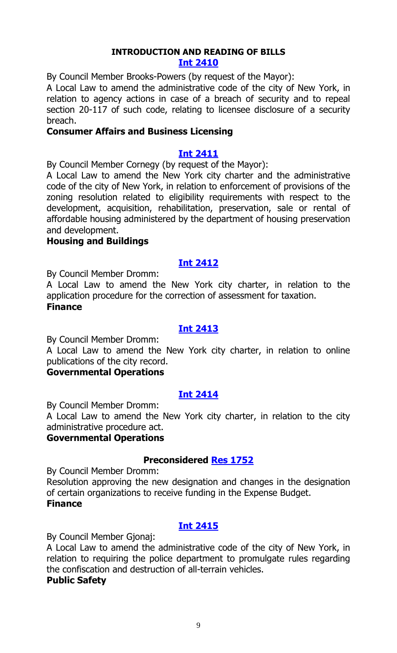#### **INTRODUCTION AND READING OF BILLS Int [2410](https://legistar.council.nyc.gov/LegislationDetail.aspx?ID=5161482&GUID=1636F161-CC74-49DD-959E-BF17C719FB53&Options=ID|&Search=)**

By Council Member Brooks-Powers (by request of the Mayor):

A Local Law to amend the administrative code of the city of New York, in relation to agency actions in case of a breach of security and to repeal section 20-117 of such code, relating to licensee disclosure of a security breach.

#### **Consumer Affairs and Business Licensing**

#### **Int [2411](https://legistar.council.nyc.gov/LegislationDetail.aspx?ID=5161481&GUID=EA4A4B85-0171-4D1E-941B-FF4A9DF6CD60&Options=ID|&Search=)**

By Council Member Cornegy (by request of the Mayor):

A Local Law to amend the New York city charter and the administrative code of the city of New York, in relation to enforcement of provisions of the zoning resolution related to eligibility requirements with respect to the development, acquisition, rehabilitation, preservation, sale or rental of affordable housing administered by the department of housing preservation and development.

#### **Housing and Buildings**

#### **Int [2412](https://legistar.council.nyc.gov/LegislationDetail.aspx?ID=5161483&GUID=BBB3AE56-8122-4D1F-8412-CADFDA4523DD&Options=ID|&Search=)**

By Council Member Dromm:

A Local Law to amend the New York city charter, in relation to the application procedure for the correction of assessment for taxation. **Finance**

#### **Int [2413](https://legistar.council.nyc.gov/LegislationDetail.aspx?ID=5161489&GUID=12449727-3273-4738-9C0A-C860DE9451A2&Options=ID|&Search=)**

By Council Member Dromm:

A Local Law to amend the New York city charter, in relation to online publications of the city record.

#### **Governmental Operations**

#### **Int [2414](https://legistar.council.nyc.gov/LegislationDetail.aspx?ID=5161485&GUID=8CDCB7C6-CCCA-4518-BB9D-D27AA7D5402B&Options=ID|&Search=)**

By Council Member Dromm:

A Local Law to amend the New York city charter, in relation to the city administrative procedure act.

# **Governmental Operations**

#### **Preconsidered Res [1752](https://legistar.council.nyc.gov/LegislationDetail.aspx?ID=5158129&GUID=2DCCC412-6C64-448E-A597-5653921E6869&Options=ID|&Search=)**

By Council Member Dromm:

Resolution approving the new designation and changes in the designation of certain organizations to receive funding in the Expense Budget. **Finance**

#### **Int [2415](https://legistar.council.nyc.gov/LegislationDetail.aspx?ID=5161491&GUID=943496C9-23C1-449F-B72A-898BB6E790D6&Options=ID|&Search=)**

By Council Member Gjonaj:

A Local Law to amend the administrative code of the city of New York, in relation to requiring the police department to promulgate rules regarding the confiscation and destruction of all-terrain vehicles.

#### **Public Safety**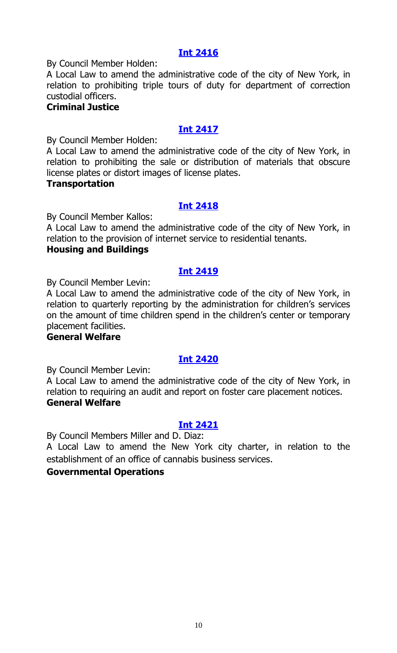# **Int [2416](https://legistar.council.nyc.gov/LegislationDetail.aspx?ID=5161494&GUID=3D3A5CF2-711A-4827-8793-B6DDCE673D3D&Options=ID|&Search=)**

By Council Member Holden:

A Local Law to amend the administrative code of the city of New York, in relation to prohibiting triple tours of duty for department of correction custodial officers.

# **Criminal Justice**

# **Int [2417](https://legistar.council.nyc.gov/LegislationDetail.aspx?ID=5161484&GUID=DA95C003-047A-48A8-98CD-68B2F26E817C&Options=ID|&Search=)**

By Council Member Holden:

A Local Law to amend the administrative code of the city of New York, in relation to prohibiting the sale or distribution of materials that obscure license plates or distort images of license plates.

#### **Transportation**

# **Int [2418](https://legistar.council.nyc.gov/LegislationDetail.aspx?ID=5161479&GUID=280FD37F-F2EE-48DE-9C90-C455C5786F6C&Options=ID|&Search=)**

By Council Member Kallos:

A Local Law to amend the administrative code of the city of New York, in relation to the provision of internet service to residential tenants.

#### **Housing and Buildings**

# **Int [2419](https://legistar.council.nyc.gov/LegislationDetail.aspx?ID=5161487&GUID=B45EE6E2-0C2C-4BA5-ACD7-7641B76BA931&Options=ID|&Search=)**

By Council Member Levin:

A Local Law to amend the administrative code of the city of New York, in relation to quarterly reporting by the administration for children's services on the amount of time children spend in the children's center or temporary placement facilities.

#### **General Welfare**

# **Int [2420](https://legistar.council.nyc.gov/LegislationDetail.aspx?ID=5161488&GUID=BBF7E7DE-A6BB-4E28-BC17-DC9F8C599173&Options=ID|&Search=)**

By Council Member Levin:

A Local Law to amend the administrative code of the city of New York, in relation to requiring an audit and report on foster care placement notices. **General Welfare**

# **Int [2421](https://legistar.council.nyc.gov/LegislationDetail.aspx?ID=5161493&GUID=609ED4F1-962E-4FD6-80E4-4AB01F17B3EF&Options=ID|&Search=)**

By Council Members Miller and D. Diaz:

A Local Law to amend the New York city charter, in relation to the establishment of an office of cannabis business services.

#### **Governmental Operations**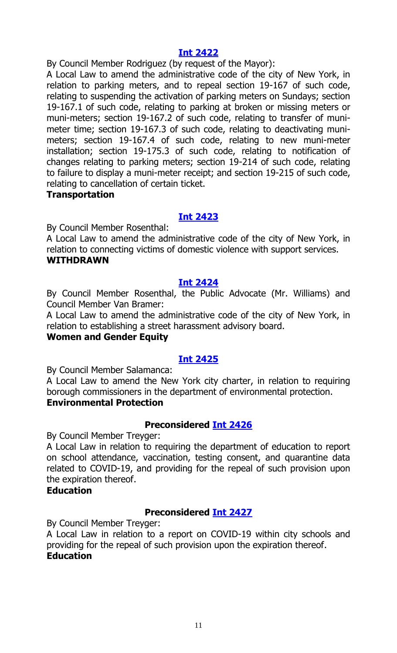### **Int [2422](https://legistar.council.nyc.gov/LegislationDetail.aspx?ID=5161492&GUID=26FB46DB-D36E-4EF0-A465-DE347C2E095C&Options=ID|&Search=)**

By Council Member Rodriguez (by request of the Mayor):

A Local Law to amend the administrative code of the city of New York, in relation to parking meters, and to repeal section 19-167 of such code, relating to suspending the activation of parking meters on Sundays; section 19-167.1 of such code, relating to parking at broken or missing meters or muni-meters; section 19-167.2 of such code, relating to transfer of munimeter time; section 19-167.3 of such code, relating to deactivating munimeters; section 19-167.4 of such code, relating to new muni-meter installation; section 19-175.3 of such code, relating to notification of changes relating to parking meters; section 19-214 of such code, relating to failure to display a muni-meter receipt; and section 19-215 of such code, relating to cancellation of certain ticket.

#### **Transportation**

# **Int [2423](https://legistar.council.nyc.gov/LegislationDetail.aspx?ID=5161480&GUID=F7A2F1F6-AF0E-44FD-9212-C374EEB0D2B9&Options=ID|&Search=)**

By Council Member Rosenthal:

A Local Law to amend the administrative code of the city of New York, in relation to connecting victims of domestic violence with support services. **WITHDRAWN**

#### **Int [2424](https://legistar.council.nyc.gov/LegislationDetail.aspx?ID=5161490&GUID=142A0C46-E731-420F-A3F2-DC22ED99392A&Options=ID|&Search=)**

By Council Member Rosenthal, the Public Advocate (Mr. Williams) and Council Member Van Bramer:

A Local Law to amend the administrative code of the city of New York, in relation to establishing a street harassment advisory board.

#### **Women and Gender Equity**

# **Int [2425](https://legistar.council.nyc.gov/LegislationDetail.aspx?ID=5161486&GUID=F45F9AB1-3DD4-4DFB-962A-7D7203C6DCD7&Options=ID|&Search=)**

By Council Member Salamanca:

A Local Law to amend the New York city charter, in relation to requiring borough commissioners in the department of environmental protection. **Environmental Protection**

#### **Preconsidered Int [2426](https://legistar.council.nyc.gov/LegislationDetail.aspx?ID=5159257&GUID=FE54F6F4-5A23-4816-8E4D-FC037306BC80&Options=ID|&Search=)**

By Council Member Treyger:

A Local Law in relation to requiring the department of education to report on school attendance, vaccination, testing consent, and quarantine data related to COVID-19, and providing for the repeal of such provision upon the expiration thereof.

#### **Education**

# **Preconsidered Int [2427](https://legistar.council.nyc.gov/LegislationDetail.aspx?ID=5159259&GUID=DB44C3EA-5C9E-4C06-A75E-2F0EB1B15ECA&Options=ID|&Search=)**

By Council Member Treyger:

A Local Law in relation to a report on COVID-19 within city schools and providing for the repeal of such provision upon the expiration thereof. **Education**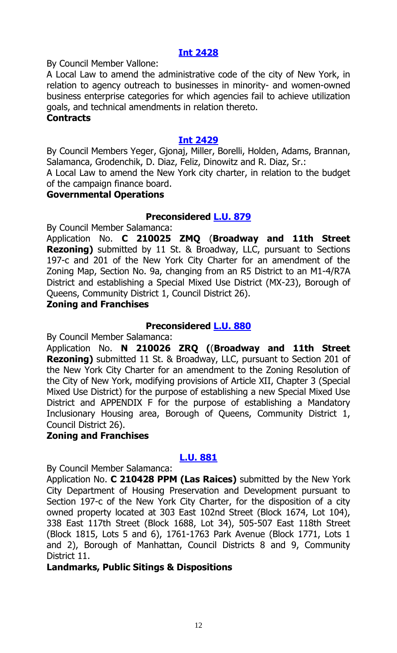### **Int [2428](https://legistar.council.nyc.gov/LegislationDetail.aspx?ID=5161511&GUID=A4AFBBD0-1CC9-498A-8A9C-201B3CB83F90&Options=ID|&Search=)**

By Council Member Vallone:

A Local Law to amend the administrative code of the city of New York, in relation to agency outreach to businesses in minority- and women-owned business enterprise categories for which agencies fail to achieve utilization goals, and technical amendments in relation thereto.

#### **Contracts**

#### **Int [2429](https://legistar.council.nyc.gov/LegislationDetail.aspx?ID=5161512&GUID=367D65A0-6E2F-41FB-B149-6BA037C6710B&Options=ID|&Search=)**

By Council Members Yeger, Gjonaj, Miller, Borelli, Holden, Adams, Brannan, Salamanca, Grodenchik, D. Diaz, Feliz, Dinowitz and R. Diaz, Sr.:

A Local Law to amend the New York city charter, in relation to the budget of the campaign finance board.

#### **Governmental Operations**

#### **Preconsidered [L.U.](https://legistar.council.nyc.gov/LegislationDetail.aspx?ID=5157924&GUID=1947BA28-F0D6-49D1-938D-7EB474CCCB71&Options=ID|&Search=) 879**

By Council Member Salamanca:

Application No. **C 210025 ZMQ** (**Broadway and 11th Street Rezoning)** submitted by 11 St. & Broadway, LLC, pursuant to Sections 197-c and 201 of the New York City Charter for an amendment of the Zoning Map, Section No. 9a, changing from an R5 District to an M1-4/R7A District and establishing a Special Mixed Use District (MX-23), Borough of Queens, Community District 1, Council District 26).

#### **Zoning and Franchises**

#### **Preconsidered [L.U.](https://legistar.council.nyc.gov/LegislationDetail.aspx?ID=5157925&GUID=811E2DF7-D235-45B0-876A-12BFAAB32172&Options=ID|&Search=) 880**

By Council Member Salamanca:

Application No. **N 210026 ZRQ (**(**Broadway and 11th Street Rezoning)** submitted 11 St. & Broadway, LLC, pursuant to Section 201 of the New York City Charter for an amendment to the Zoning Resolution of the City of New York, modifying provisions of Article XII, Chapter 3 (Special Mixed Use District) for the purpose of establishing a new Special Mixed Use District and APPENDIX F for the purpose of establishing a Mandatory Inclusionary Housing area, Borough of Queens, Community District 1, Council District 26).

#### **Zoning and Franchises**

#### **[L.U.](https://legistar.council.nyc.gov/LegislationDetail.aspx?ID=5161401&GUID=A9844FE0-961B-4B6D-9DFD-8236C2028C6B&Options=ID|&Search=) 881**

By Council Member Salamanca:

Application No. **C 210428 PPM (Las Raices)** submitted by the New York City Department of Housing Preservation and Development pursuant to Section 197-c of the New York City Charter, for the disposition of a city owned property located at 303 East 102nd Street (Block 1674, Lot 104), 338 East 117th Street (Block 1688, Lot 34), 505-507 East 118th Street (Block 1815, Lots 5 and 6), 1761-1763 Park Avenue (Block 1771, Lots 1 and 2), Borough of Manhattan, Council Districts 8 and 9, Community District 11.

#### **Landmarks, Public Sitings & Dispositions**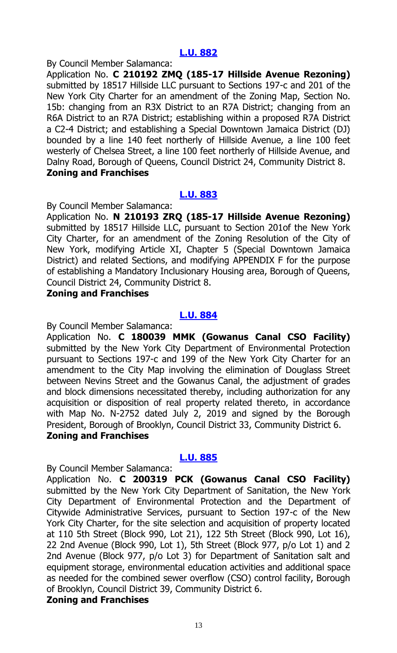By Council Member Salamanca:

Application No. **C 210192 ZMQ (185-17 Hillside Avenue Rezoning)**  submitted by 18517 Hillside LLC pursuant to Sections 197-c and 201 of the New York City Charter for an amendment of the Zoning Map, Section No. 15b: changing from an R3X District to an R7A District; changing from an R6A District to an R7A District; establishing within a proposed R7A District a C2-4 District; and establishing a Special Downtown Jamaica District (DJ) bounded by a line 140 feet northerly of Hillside Avenue, a line 100 feet westerly of Chelsea Street, a line 100 feet northerly of Hillside Avenue, and Dalny Road, Borough of Queens, Council District 24, Community District 8. **Zoning and Franchises**

# **[L.U.](https://legistar.council.nyc.gov/LegislationDetail.aspx?ID=5161403&GUID=79545B74-FE70-4DED-BBB4-954399BFB0D6&Options=ID|&Search=) 883**

By Council Member Salamanca:

Application No. **N 210193 ZRQ (185-17 Hillside Avenue Rezoning)** submitted by 18517 Hillside LLC, pursuant to Section 201of the New York City Charter, for an amendment of the Zoning Resolution of the City of New York, modifying Article XI, Chapter 5 (Special Downtown Jamaica District) and related Sections, and modifying APPENDIX F for the purpose of establishing a Mandatory Inclusionary Housing area, Borough of Queens, Council District 24, Community District 8.

#### **Zoning and Franchises**

# **[L.U.](https://legistar.council.nyc.gov/LegislationDetail.aspx?ID=5161404&GUID=A53E2F65-EF5E-4278-A01C-BACD533E78B0&Options=ID|&Search=) 884**

By Council Member Salamanca:

Application No. **C 180039 MMK (Gowanus Canal CSO Facility)** submitted by the New York City Department of Environmental Protection pursuant to Sections 197-c and 199 of the New York City Charter for an amendment to the City Map involving the elimination of Douglass Street between Nevins Street and the Gowanus Canal, the adjustment of grades and block dimensions necessitated thereby, including authorization for any acquisition or disposition of real property related thereto, in accordance with Map No. N-2752 dated July 2, 2019 and signed by the Borough President, Borough of Brooklyn, Council District 33, Community District 6. **Zoning and Franchises**

#### **[L.U.](https://legistar.council.nyc.gov/LegislationDetail.aspx?ID=5161405&GUID=E0B6B559-3C54-4C4D-B32E-88DE0B6365D1&Options=ID|&Search=) 885**

By Council Member Salamanca:

Application No. **C 200319 PCK (Gowanus Canal CSO Facility)** submitted by the New York City Department of Sanitation, the New York City Department of Environmental Protection and the Department of Citywide Administrative Services, pursuant to Section 197-c of the New York City Charter, for the site selection and acquisition of property located at 110 5th Street (Block 990, Lot 21), 122 5th Street (Block 990, Lot 16), 22 2nd Avenue (Block 990, Lot 1), 5th Street (Block 977, p/o Lot 1) and 2 2nd Avenue (Block 977, p/o Lot 3) for Department of Sanitation salt and equipment storage, environmental education activities and additional space as needed for the combined sewer overflow (CSO) control facility, Borough of Brooklyn, Council District 39, Community District 6.

#### **Zoning and Franchises**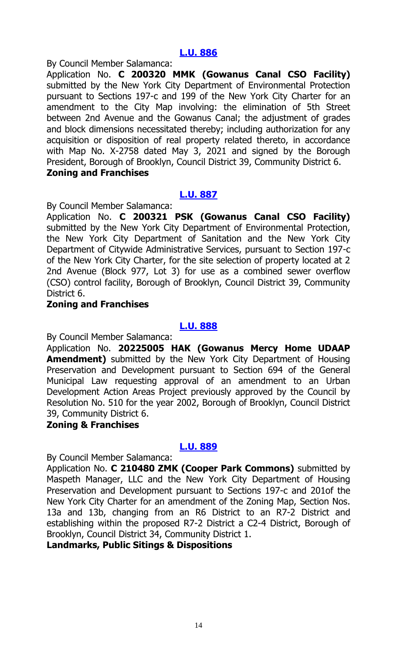By Council Member Salamanca:

Application No. **C 200320 MMK (Gowanus Canal CSO Facility)** submitted by the New York City Department of Environmental Protection pursuant to Sections 197-c and 199 of the New York City Charter for an amendment to the City Map involving: the elimination of 5th Street between 2nd Avenue and the Gowanus Canal; the adjustment of grades and block dimensions necessitated thereby; including authorization for any acquisition or disposition of real property related thereto, in accordance with Map No. X-2758 dated May 3, 2021 and signed by the Borough President, Borough of Brooklyn, Council District 39, Community District 6. **Zoning and Franchises**

# **[L.U.](https://legistar.council.nyc.gov/LegislationDetail.aspx?ID=5161407&GUID=4631E36E-932A-47D4-9C32-1BA0026F1E96&Options=ID|&Search=) 887**

By Council Member Salamanca:

Application No. **C 200321 PSK (Gowanus Canal CSO Facility)** submitted by the New York City Department of Environmental Protection, the New York City Department of Sanitation and the New York City Department of Citywide Administrative Services, pursuant to Section 197-c of the New York City Charter, for the site selection of property located at 2 2nd Avenue (Block 977, Lot 3) for use as a combined sewer overflow (CSO) control facility, Borough of Brooklyn, Council District 39, Community District 6.

# **Zoning and Franchises**

#### **[L.U.](https://legistar.council.nyc.gov/LegislationDetail.aspx?ID=5161408&GUID=840907B2-54BC-4B4F-8DB2-031319A191E7&Options=ID|&Search=) 888**

By Council Member Salamanca:

Application No. **20225005 HAK (Gowanus Mercy Home UDAAP Amendment)** submitted by the New York City Department of Housing Preservation and Development pursuant to Section 694 of the General Municipal Law requesting approval of an amendment to an Urban Development Action Areas Project previously approved by the Council by Resolution No. 510 for the year 2002, Borough of Brooklyn, Council District 39, Community District 6.

#### **Zoning & Franchises**

#### **[L.U.](https://legistar.council.nyc.gov/LegislationDetail.aspx?ID=5161409&GUID=05F57BF2-A95E-4856-97BE-10DB0531A409&Options=ID|&Search=) 889**

By Council Member Salamanca:

Application No. **C 210480 ZMK (Cooper Park Commons)** submitted by Maspeth Manager, LLC and the New York City Department of Housing Preservation and Development pursuant to Sections 197-c and 201of the New York City Charter for an amendment of the Zoning Map, Section Nos. 13a and 13b, changing from an R6 District to an R7-2 District and establishing within the proposed R7-2 District a C2-4 District, Borough of Brooklyn, Council District 34, Community District 1.

**Landmarks, Public Sitings & Dispositions**